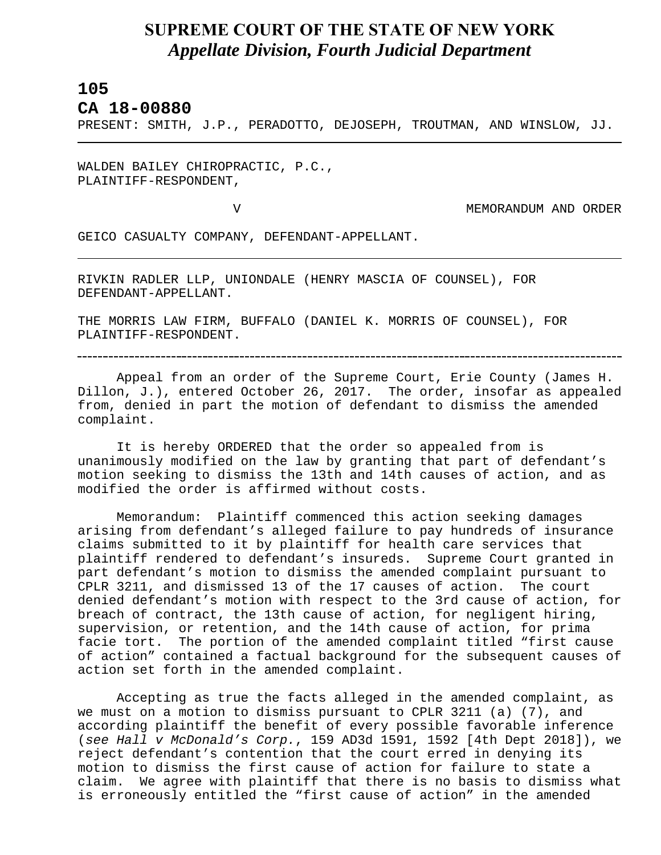## **SUPREME COURT OF THE STATE OF NEW YORK** *Appellate Division, Fourth Judicial Department*

## **105**

L

**CA 18-00880** 

PRESENT: SMITH, J.P., PERADOTTO, DEJOSEPH, TROUTMAN, AND WINSLOW, JJ.

WALDEN BAILEY CHIROPRACTIC, P.C., PLAINTIFF-RESPONDENT,

V MEMORANDUM AND ORDER

GEICO CASUALTY COMPANY, DEFENDANT-APPELLANT.

RIVKIN RADLER LLP, UNIONDALE (HENRY MASCIA OF COUNSEL), FOR DEFENDANT-APPELLANT.

THE MORRIS LAW FIRM, BUFFALO (DANIEL K. MORRIS OF COUNSEL), FOR PLAINTIFF-RESPONDENT.

Appeal from an order of the Supreme Court, Erie County (James H. Dillon, J.), entered October 26, 2017. The order, insofar as appealed from, denied in part the motion of defendant to dismiss the amended complaint.

It is hereby ORDERED that the order so appealed from is unanimously modified on the law by granting that part of defendant's motion seeking to dismiss the 13th and 14th causes of action, and as modified the order is affirmed without costs.

Memorandum: Plaintiff commenced this action seeking damages arising from defendant's alleged failure to pay hundreds of insurance claims submitted to it by plaintiff for health care services that plaintiff rendered to defendant's insureds. Supreme Court granted in part defendant's motion to dismiss the amended complaint pursuant to CPLR 3211, and dismissed 13 of the 17 causes of action. The court denied defendant's motion with respect to the 3rd cause of action, for breach of contract, the 13th cause of action, for negligent hiring, supervision, or retention, and the 14th cause of action, for prima facie tort. The portion of the amended complaint titled "first cause of action" contained a factual background for the subsequent causes of action set forth in the amended complaint.

Accepting as true the facts alleged in the amended complaint, as we must on a motion to dismiss pursuant to CPLR 3211 (a) (7), and according plaintiff the benefit of every possible favorable inference (*see Hall v McDonald's Corp.*, 159 AD3d 1591, 1592 [4th Dept 2018]), we reject defendant's contention that the court erred in denying its motion to dismiss the first cause of action for failure to state a claim. We agree with plaintiff that there is no basis to dismiss what is erroneously entitled the "first cause of action" in the amended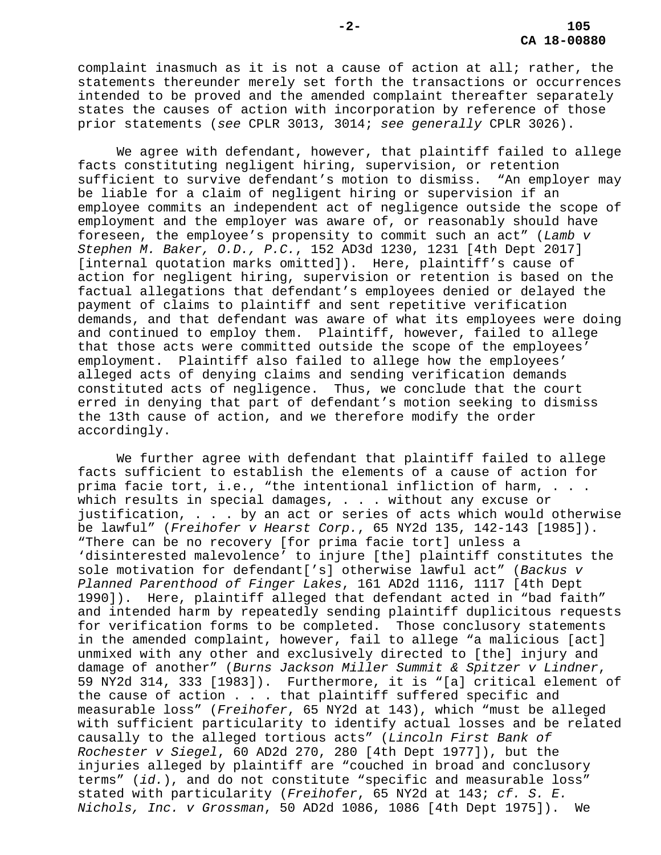complaint inasmuch as it is not a cause of action at all; rather, the statements thereunder merely set forth the transactions or occurrences intended to be proved and the amended complaint thereafter separately states the causes of action with incorporation by reference of those prior statements (*see* CPLR 3013, 3014; *see generally* CPLR 3026).

We agree with defendant, however, that plaintiff failed to allege facts constituting negligent hiring, supervision, or retention sufficient to survive defendant's motion to dismiss. "An employer may be liable for a claim of negligent hiring or supervision if an employee commits an independent act of negligence outside the scope of employment and the employer was aware of, or reasonably should have foreseen, the employee's propensity to commit such an act" (*Lamb v Stephen M. Baker, O.D., P.C.*, 152 AD3d 1230, 1231 [4th Dept 2017] [internal quotation marks omitted]). Here, plaintiff's cause of action for negligent hiring, supervision or retention is based on the factual allegations that defendant's employees denied or delayed the payment of claims to plaintiff and sent repetitive verification demands, and that defendant was aware of what its employees were doing and continued to employ them. Plaintiff, however, failed to allege that those acts were committed outside the scope of the employees' employment. Plaintiff also failed to allege how the employees' alleged acts of denying claims and sending verification demands constituted acts of negligence. Thus, we conclude that the court erred in denying that part of defendant's motion seeking to dismiss the 13th cause of action, and we therefore modify the order accordingly.

We further agree with defendant that plaintiff failed to allege facts sufficient to establish the elements of a cause of action for prima facie tort, i.e., "the intentional infliction of harm, . . . which results in special damages, . . . without any excuse or justification, . . . by an act or series of acts which would otherwise be lawful" (*Freihofer v Hearst Corp.*, 65 NY2d 135, 142-143 [1985]). "There can be no recovery [for prima facie tort] unless a 'disinterested malevolence' to injure [the] plaintiff constitutes the sole motivation for defendant['s] otherwise lawful act" (*Backus v Planned Parenthood of Finger Lakes*, 161 AD2d 1116, 1117 [4th Dept 1990]). Here, plaintiff alleged that defendant acted in "bad faith" and intended harm by repeatedly sending plaintiff duplicitous requests for verification forms to be completed. Those conclusory statements in the amended complaint, however, fail to allege "a malicious [act] unmixed with any other and exclusively directed to [the] injury and damage of another" (*Burns Jackson Miller Summit & Spitzer v Lindner*, 59 NY2d 314, 333 [1983]). Furthermore, it is "[a] critical element of the cause of action . . . that plaintiff suffered specific and measurable loss" (*Freihofer*, 65 NY2d at 143), which "must be alleged with sufficient particularity to identify actual losses and be related causally to the alleged tortious acts" (*Lincoln First Bank of Rochester v Siegel*, 60 AD2d 270, 280 [4th Dept 1977]), but the injuries alleged by plaintiff are "couched in broad and conclusory terms" (*id.*), and do not constitute "specific and measurable loss" stated with particularity (*Freihofer*, 65 NY2d at 143; *cf. S. E. Nichols, Inc. v Grossman*, 50 AD2d 1086, 1086 [4th Dept 1975]). We